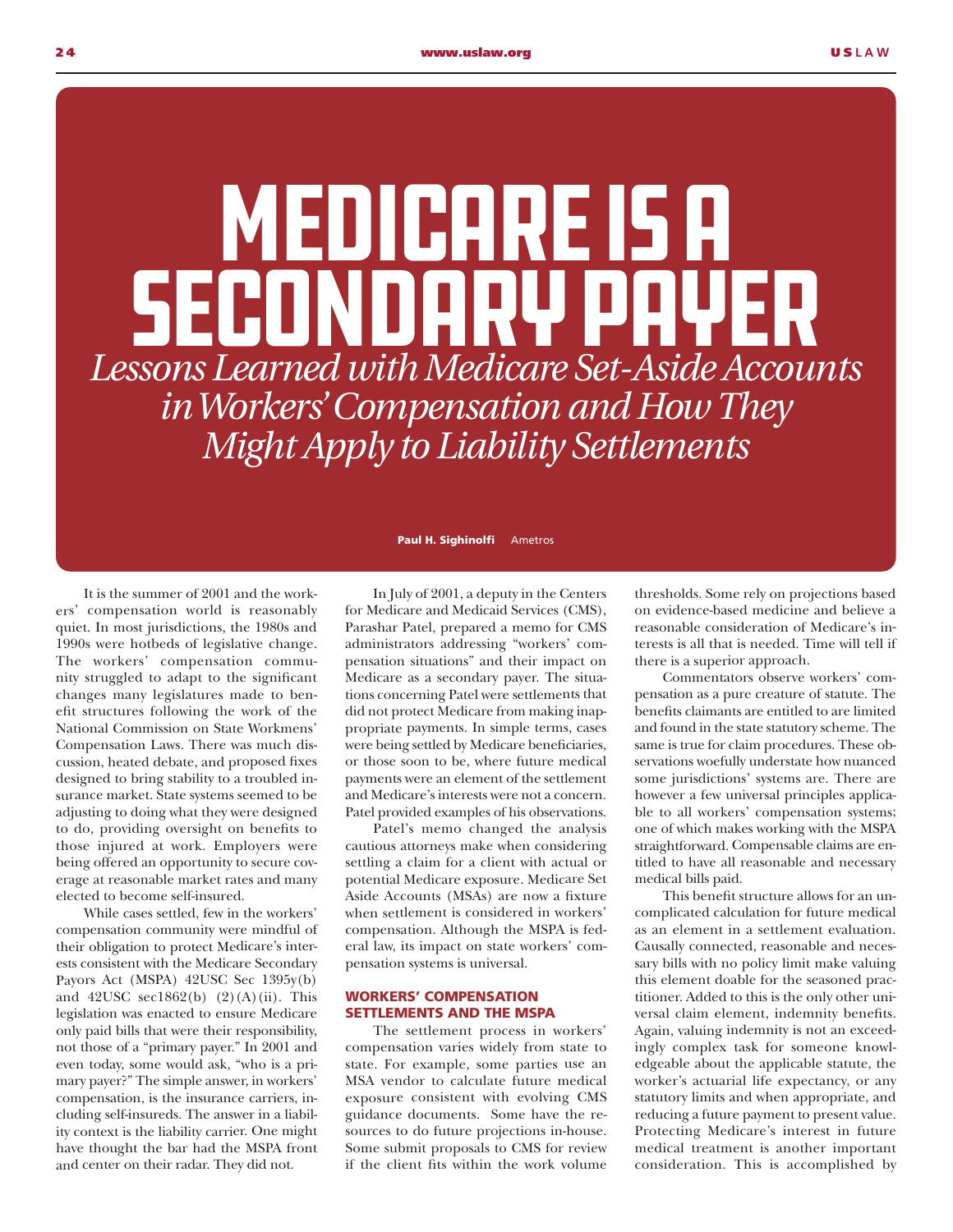## *Lessons Learned with Medicare Set-Aside Accounts in Workers' Compensation and How They Might Apply to Liability Settlements* MEDICARE IS A Secondary Payer

It is the summer of 2001 and the workers' compensation world is reasonably quiet. In most jurisdictions, the 1980s and 1990s were hotbeds of legislative change. The workers' compensation community struggled to adapt to the significant changes many legislatures made to benefit structures following the work of the National Commission on State Workmens' Compensation Laws. There was much discussion, heated debate, and proposed fixes designed to bring stability to a troubled insurance market. State systems seemed to be adjusting to doing what they were designed to do, providing oversight on benefits to those injured at work. Employers were being offered an opportunity to secure coverage at reasonable market rates and many elected to become self-insured.

While cases settled, few in the workers' compensation community were mindful of their obligation to protect Medicare's interests consistent with the Medicare Secondary Payors Act (MSPA) 42USC Sec 1395y(b) and  $42USC$  sec1862(b)  $(2)(A)(ii)$ . This legislation was enacted to ensure Medicare only paid bills that were their responsibility, not those of a "primary payer." In 2001 and even today, some would ask, "who is a primary payer?" The simple answer, in workers' compensation, is the insurance carriers, including self-insureds. The answer in a liability context is the liability carrier. One might have thought the bar had the MSPA front and center on their radar. They did not.

Paul H. Sighinolfi Ametros

In July of 2001, a deputy in the Centers for Medicare and Medicaid Services (CMS), Parashar Patel, prepared a memo for CMS administrators addressing "workers' compensation situations" and their impact on Medicare as a secondary payer. The situations concerning Patel were settlements that did not protect Medicare from making inappropriate payments. In simple terms, cases were being settled by Medicare beneficiaries, or those soon to be, where future medical payments were an element of the settlement and Medicare's interests were not a concern. Patel provided examples of his observations.

Patel's memo changed the analysis cautious attorneys make when considering settling a claim for a client with actual or potential Medicare exposure. Medicare Set Aside Accounts (MSAs) are now a fixture when settlement is considered in workers' compensation. Although the MSPA is federal law, its impact on state workers' compensation systems is universal.

## WORKERS' COMPENSATION SETTLEMENTS AND THE MSPA

The settlement process in workers' compensation varies widely from state to state. For example, some parties use an MSA vendor to calculate future medical exposure consistent with evolving CMS guidance documents. Some have the resources to do future projections in-house. Some submit proposals to CMS for review if the client fits within the work volume thresholds. Some rely on projections based on evidence-based medicine and believe a reasonable consideration of Medicare's interests is all that is needed. Time will tell if there is a superior approach.

Commentators observe workers' compensation as a pure creature of statute. The benefits claimants are entitled to are limited and found in the state statutory scheme. The same is true for claim procedures. These observations woefully understate how nuanced some jurisdictions' systems are. There are however a few universal principles applicable to all workers' compensation systems; one of which makes working with the MSPA straightforward. Compensable claims are entitled to have all reasonable and necessary medical bills paid.

This benefit structure allows for an uncomplicated calculation for future medical as an element in a settlement evaluation. Causally connected, reasonable and necessary bills with no policy limit make valuing this element doable for the seasoned practitioner. Added to this is the only other universal claim element, indemnity benefits. Again, valuing indemnity is not an exceedingly complex task for someone knowledgeable about the applicable statute, the worker's actuarial life expectancy, or any statutory limits and when appropriate, and reducing a future payment to present value. Protecting Medicare's interest in future medical treatment is another important consideration. This is accomplished by